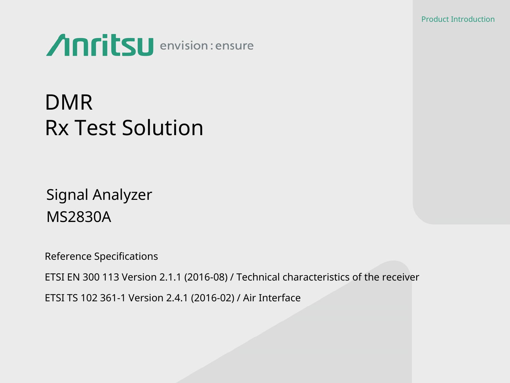Product Introduction



# DMR Rx Test Solution

Signal Analyzer MS2830A

Reference Specifications

ETSI EN 300 113 Version 2.1.1 (2016-08) / Technical characteristics of the receiver

ETSI TS 102 361-1 Version 2.4.1 (2016-02) / Air Interface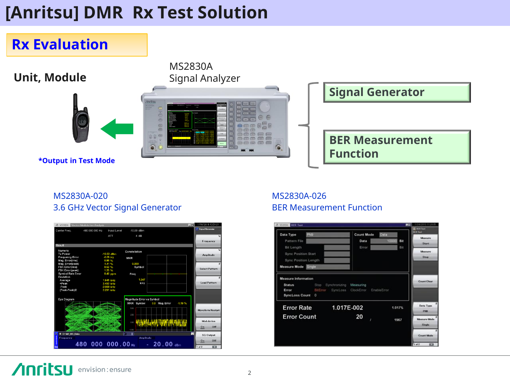## **[Anritsu] DMR Rx Test Solution**



### MS2830A-020 3.6 GHz Vector Signal Generator



### MS2830A-026 BER Measurement Function

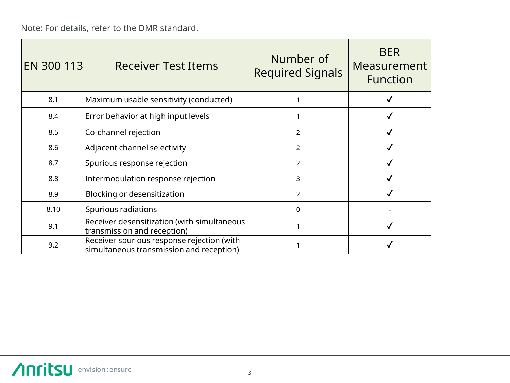Note: For details, refer to the DMR standard.

| EN 300 113 | <b>Receiver Test Items</b>                                                             | Number of<br><b>Required Signals</b> | <b>BER</b><br>Measurement<br><b>Function</b> |
|------------|----------------------------------------------------------------------------------------|--------------------------------------|----------------------------------------------|
| 8.1        | Maximum usable sensitivity (conducted)                                                 |                                      |                                              |
| 8.4        | Error behavior at high input levels                                                    |                                      |                                              |
| 8.5        | Co-channel rejection                                                                   | $\mathcal{P}$                        |                                              |
| 8.6        | Adjacent channel selectivity                                                           | 2                                    |                                              |
| 8.7        | Spurious response rejection                                                            | $\mathcal{P}$                        |                                              |
| 8.8        | Intermodulation response rejection                                                     | 3                                    |                                              |
| 8.9        | Blocking or desensitization                                                            | $\overline{2}$                       |                                              |
| 8.10       | Spurious radiations                                                                    | $\Omega$                             |                                              |
| 9.1        | Receiver desensitization (with simultaneous<br>transmission and reception)             |                                      |                                              |
| 9.2        | Receiver spurious response rejection (with<br>simultaneous transmission and reception) |                                      |                                              |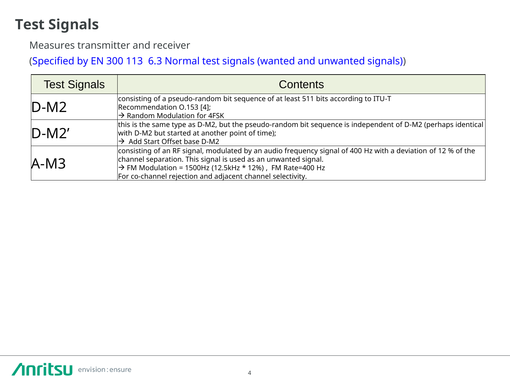## **Test Signals**

Measures transmitter and receiver

(Specified by EN 300 113 6.3 Normal test signals (wanted and unwanted signals))

| <b>Test Signals</b> | <b>Contents</b>                                                                                                                                                                                                                                                                                                      |
|---------------------|----------------------------------------------------------------------------------------------------------------------------------------------------------------------------------------------------------------------------------------------------------------------------------------------------------------------|
| $D-M2$              | consisting of a pseudo-random bit sequence of at least 511 bits according to ITU-T<br>Recommendation 0.153 [4];<br>$\rightarrow$ Random Modulation for 4FSK                                                                                                                                                          |
| $D-M2'$             | this is the same type as D-M2, but the pseudo-random bit sequence is independent of D-M2 (perhaps identical<br>with D-M2 but started at another point of time);<br>$\rightarrow$ Add Start Offset base D-M2                                                                                                          |
| $A-M3$              | consisting of an RF signal, modulated by an audio frequency signal of 400 Hz with a deviation of 12 % of the<br>channel separation. This signal is used as an unwanted signal.<br>$\rightarrow$ FM Modulation = 1500Hz (12.5kHz * 12%), FM Rate=400 Hz<br>For co-channel rejection and adjacent channel selectivity. |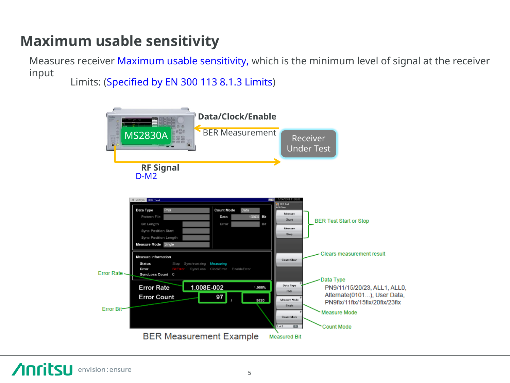## **Maximum usable sensitivity**

Measures receiver Maximum usable sensitivity, which is the minimum level of signal at the receiver input

Limits: (Specified by EN 300 113 8.1.3 Limits)

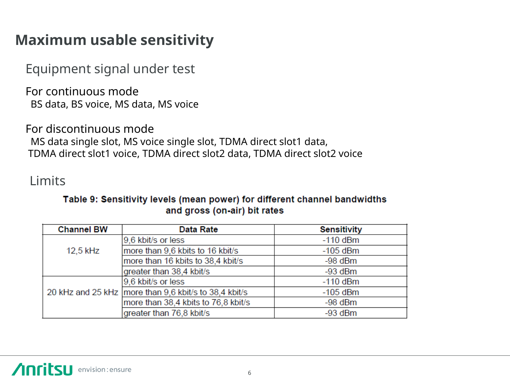### **Maximum usable sensitivity**

Equipment signal under test

For continuous mode BS data, BS voice, MS data, MS voice

For discontinuous mode MS data single slot, MS voice single slot, TDMA direct slot1 data, TDMA direct slot1 voice, TDMA direct slot2 data, TDMA direct slot2 voice

### Limits

### Table 9: Sensitivity levels (mean power) for different channel bandwidths and gross (on-air) bit rates

| <b>Channel BW</b> | <b>Data Rate</b>                                        | <b>Sensitivity</b> |
|-------------------|---------------------------------------------------------|--------------------|
|                   | 9,6 kbit/s or less                                      | $-110$ dBm         |
| 12,5 kHz          | more than 9,6 kbits to 16 kbit/s                        | $-105$ dBm         |
|                   | more than 16 kbits to 38,4 kbit/s                       | -98 dBm            |
|                   | greater than 38,4 kbit/s                                | $-93$ dBm          |
|                   | 9,6 kbit/s or less                                      | $-110$ dBm         |
|                   | 20 kHz and 25 kHz   more than 9,6 kbit/s to 38,4 kbit/s | $-105$ dBm         |
|                   | more than 38,4 kbits to 76,8 kbit/s                     | $-98$ dBm          |
|                   | greater than 76,8 kbit/s                                | $-93$ dBm          |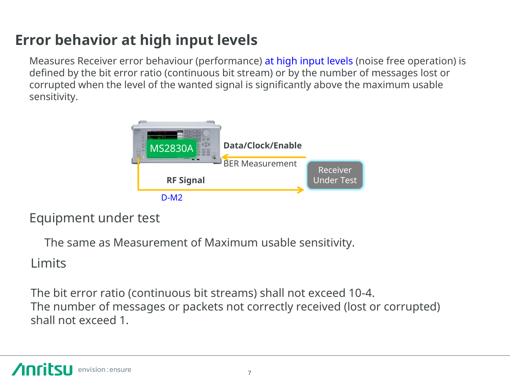## **Error behavior at high input levels**

Measures Receiver error behaviour (performance) at high input levels (noise free operation) is defined by the bit error ratio (continuous bit stream) or by the number of messages lost or corrupted when the level of the wanted signal is significantly above the maximum usable sensitivity.



### Equipment under test

The same as Measurement of Maximum usable sensitivity.

### **Limits**

The bit error ratio (continuous bit streams) shall not exceed 10-4. The number of messages or packets not correctly received (lost or corrupted) shall not exceed 1.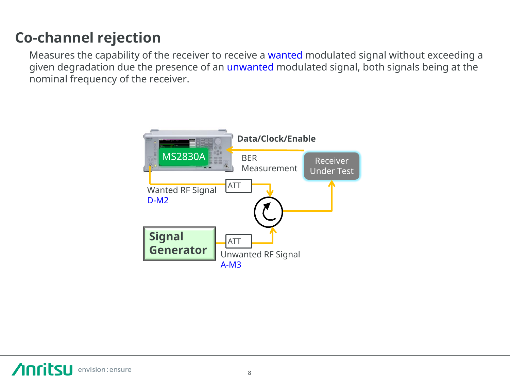## **Co-channel rejection**

Measures the capability of the receiver to receive a wanted modulated signal without exceeding a given degradation due the presence of an unwanted modulated signal, both signals being at the nominal frequency of the receiver.

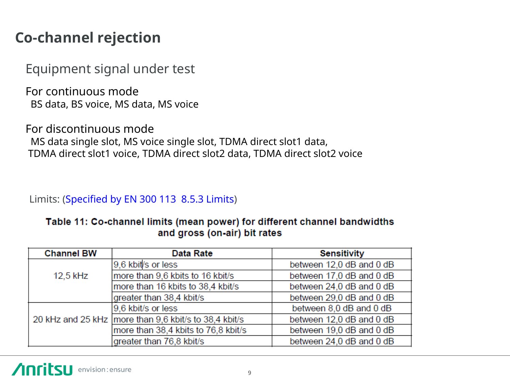### **Co-channel rejection**

Equipment signal under test

For continuous mode BS data, BS voice, MS data, MS voice

For discontinuous mode MS data single slot, MS voice single slot, TDMA direct slot1 data, TDMA direct slot1 voice, TDMA direct slot2 data, TDMA direct slot2 voice

Limits: (Specified by EN 300 113 8.5.3 Limits)

### Table 11: Co-channel limits (mean power) for different channel bandwidths and gross (on-air) bit rates

| <b>Channel BW</b> | <b>Data Rate</b>                                        | <b>Sensitivity</b>       |
|-------------------|---------------------------------------------------------|--------------------------|
|                   | 9,6 kbit/s or less                                      | between 12,0 dB and 0 dB |
| 12,5 kHz          | more than 9,6 kbits to 16 kbit/s                        | between 17,0 dB and 0 dB |
|                   | more than 16 kbits to 38,4 kbit/s                       | between 24,0 dB and 0 dB |
|                   | greater than 38,4 kbit/s                                | between 29,0 dB and 0 dB |
|                   | 9,6 kbit/s or less                                      | between 8,0 dB and 0 dB  |
|                   | 20 kHz and 25 kHz   more than 9,6 kbit/s to 38,4 kbit/s | between 12,0 dB and 0 dB |
|                   | more than 38,4 kbits to 76,8 kbit/s                     | between 19,0 dB and 0 dB |
|                   | greater than 76,8 kbit/s                                | between 24,0 dB and 0 dB |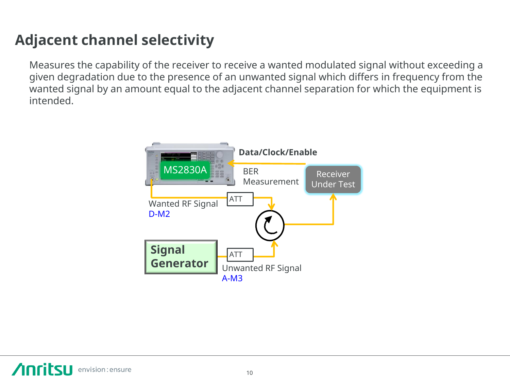## **Adjacent channel selectivity**

Measures the capability of the receiver to receive a wanted modulated signal without exceeding a given degradation due to the presence of an unwanted signal which differs in frequency from the wanted signal by an amount equal to the adjacent channel separation for which the equipment is intended.

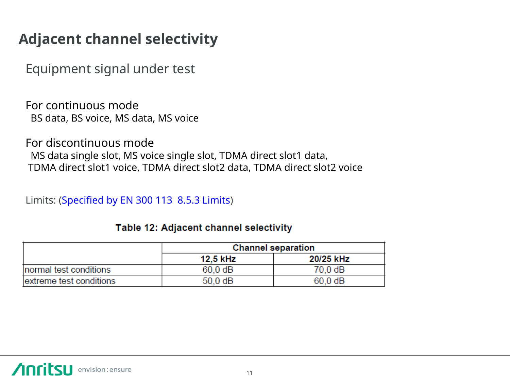### **Adjacent channel selectivity**

Equipment signal under test

For continuous mode BS data, BS voice, MS data, MS voice

For discontinuous mode MS data single slot, MS voice single slot, TDMA direct slot1 data, TDMA direct slot1 voice, TDMA direct slot2 data, TDMA direct slot2 voice

Limits: (Specified by EN 300 113 8.5.3 Limits)

|                         | <b>Channel separation</b> |                   |
|-------------------------|---------------------------|-------------------|
|                         | 12.5 kHz                  | 20/25 kHz         |
| Inormal test conditions | $60.0 \text{ dB}$         | 70.0 dB           |
| extreme test conditions | $50.0 \text{ dB}$         | $60.0 \text{ dB}$ |

### Table 12: Adjacent channel selectivity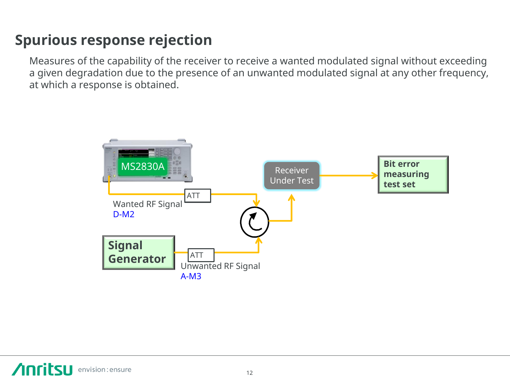## **Spurious response rejection**

Measures of the capability of the receiver to receive a wanted modulated signal without exceeding a given degradation due to the presence of an unwanted modulated signal at any other frequency, at which a response is obtained.

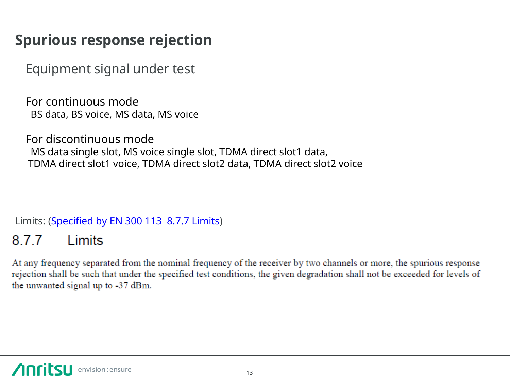### **Spurious response rejection**

Equipment signal under test

For continuous mode BS data, BS voice, MS data, MS voice

For discontinuous mode MS data single slot, MS voice single slot, TDMA direct slot1 data, TDMA direct slot1 voice, TDMA direct slot2 data, TDMA direct slot2 voice

Limits: (Specified by EN 300 113 8.7.7 Limits)

#### 8.7.7 Limits

At any frequency separated from the nominal frequency of the receiver by two channels or more, the spurious response rejection shall be such that under the specified test conditions, the given degradation shall not be exceeded for levels of the unwanted signal up to -37 dBm.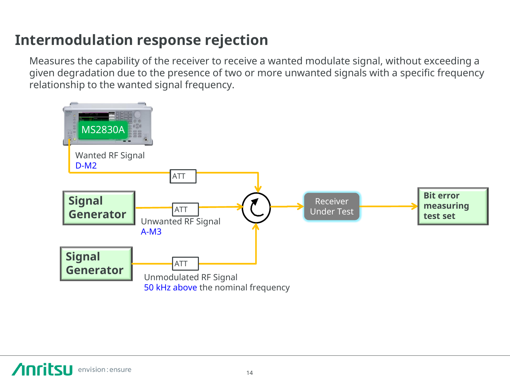## **Intermodulation response rejection**

Measures the capability of the receiver to receive a wanted modulate signal, without exceeding a given degradation due to the presence of two or more unwanted signals with a specific frequency relationship to the wanted signal frequency.

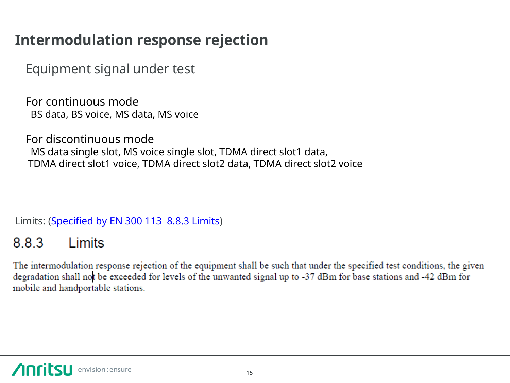## **Intermodulation response rejection**

Equipment signal under test

For continuous mode BS data, BS voice, MS data, MS voice

For discontinuous mode MS data single slot, MS voice single slot, TDMA direct slot1 data, TDMA direct slot1 voice, TDMA direct slot2 data, TDMA direct slot2 voice

Limits: (Specified by EN 300 113 8.8.3 Limits)

#### 883 1 imits

The intermodulation response rejection of the equipment shall be such that under the specified test conditions, the given degradation shall not be exceeded for levels of the unwanted signal up to -37 dBm for base stations and -42 dBm for mobile and handportable stations.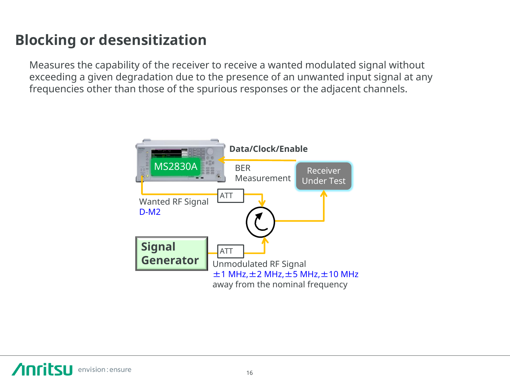## **Blocking or desensitization**

Measures the capability of the receiver to receive a wanted modulated signal without exceeding a given degradation due to the presence of an unwanted input signal at any frequencies other than those of the spurious responses or the adjacent channels.

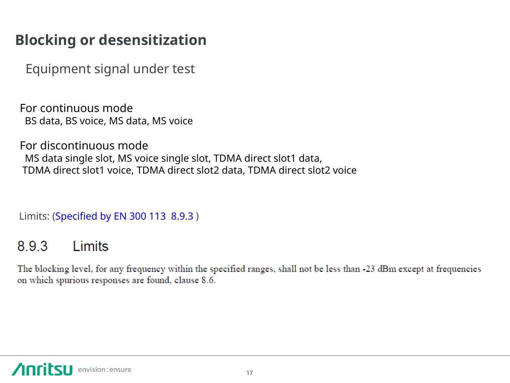## **Blocking or desensitization**

Equipment signal under test

For continuous mode BS data, BS voice, MS data, MS voice

For discontinuous mode MS data single slot, MS voice single slot, TDMA direct slot1 data, TDMA direct slot1 voice, TDMA direct slot2 data, TDMA direct slot2 voice

Limits: (Specified by EN 300 113 8.9.3 )

#### 8.9.3 Limits

The blocking level, for any frequency within the specified ranges, shall not be less than -23 dBm except at frequencies on which spurious responses are found, clause 8.6.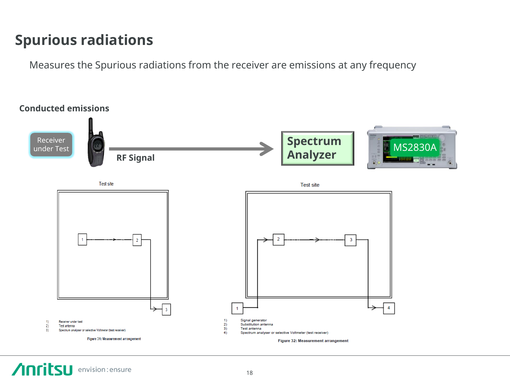### **Spurious radiations**

Measures the Spurious radiations from the receiver are emissions at any frequency



**Anritsu** envision: ensure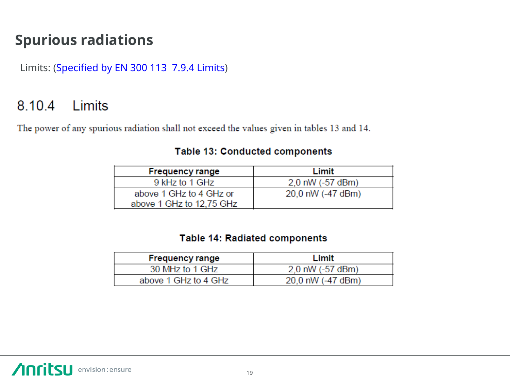### **Spurious radiations**

Limits: (Specified by EN 300 113 7.9.4 Limits)

#### Limits 8.10.4

The power of any spurious radiation shall not exceed the values given in tables 13 and 14.

### Table 13: Conducted components

| <b>Frequency range</b>   | Limit                |
|--------------------------|----------------------|
| 9 kHz to 1 GHz           | $2.0$ nW $(-57$ dBm) |
| above 1 GHz to 4 GHz or  | 20,0 nW (-47 dBm)    |
| above 1 GHz to 12,75 GHz |                      |

### **Table 14: Radiated components**

| <b>Frequency range</b> | Limit             |
|------------------------|-------------------|
| 30 MHz to 1 GHz        | 2.0 nW (-57 dBm)  |
| above 1 GHz to 4 GHz   | 20.0 nW (-47 dBm) |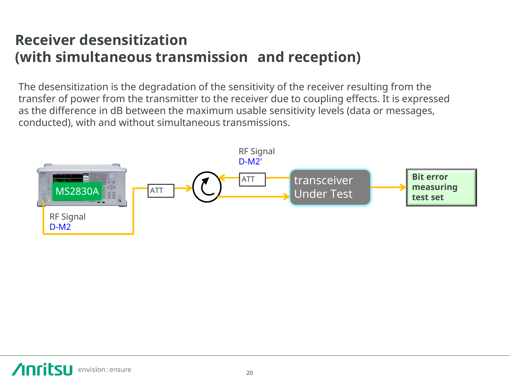### **Receiver desensitization (with simultaneous transmission and reception)**

The desensitization is the degradation of the sensitivity of the receiver resulting from the transfer of power from the transmitter to the receiver due to coupling effects. It is expressed as the difference in dB between the maximum usable sensitivity levels (data or messages, conducted), with and without simultaneous transmissions.

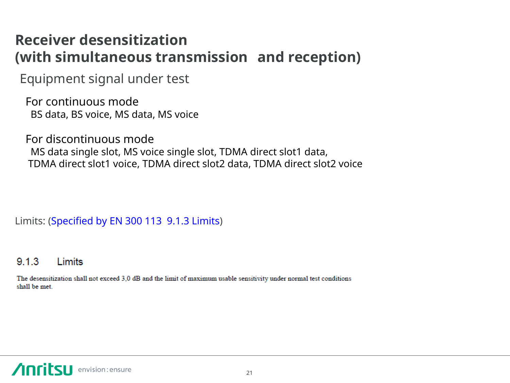### **Receiver desensitization (with simultaneous transmission and reception)**

Equipment signal under test

For continuous mode BS data, BS voice, MS data, MS voice

For discontinuous mode MS data single slot, MS voice single slot, TDMA direct slot1 data, TDMA direct slot1 voice, TDMA direct slot2 data, TDMA direct slot2 voice

Limits: (Specified by EN 300 113 9.1.3 Limits)

#### $9.1.3$ Limits

The desensitization shall not exceed 3.0 dB and the limit of maximum usable sensitivity under normal test conditions shall be met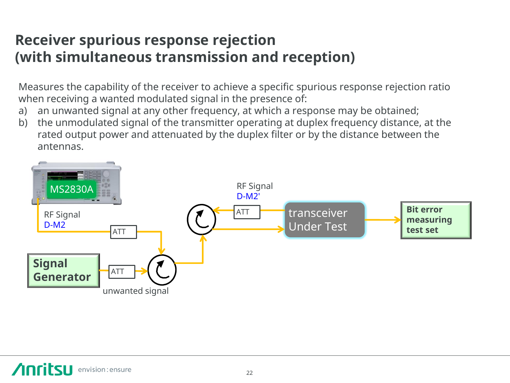### **Receiver spurious response rejection (with simultaneous transmission and reception)**

Measures the capability of the receiver to achieve a specific spurious response rejection ratio when receiving a wanted modulated signal in the presence of:

- a) an unwanted signal at any other frequency, at which a response may be obtained;
- b) the unmodulated signal of the transmitter operating at duplex frequency distance, at the rated output power and attenuated by the duplex filter or by the distance between the antennas.

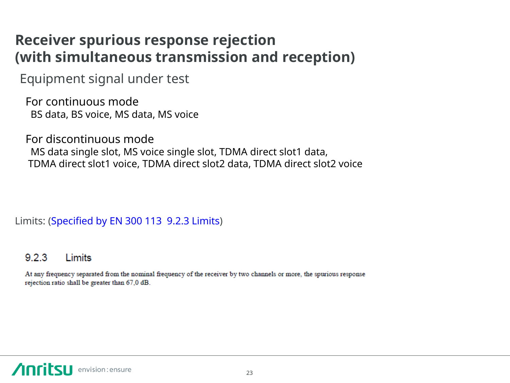### **Receiver spurious response rejection (with simultaneous transmission and reception)**

Equipment signal under test

For continuous mode BS data, BS voice, MS data, MS voice

For discontinuous mode MS data single slot, MS voice single slot, TDMA direct slot1 data, TDMA direct slot1 voice, TDMA direct slot2 data, TDMA direct slot2 voice

Limits: (Specified by EN 300 113 9.2.3 Limits)

#### $9.2.3$ Limits

At any frequency separated from the nominal frequency of the receiver by two channels or more, the spurious response rejection ratio shall be greater than 67,0 dB.